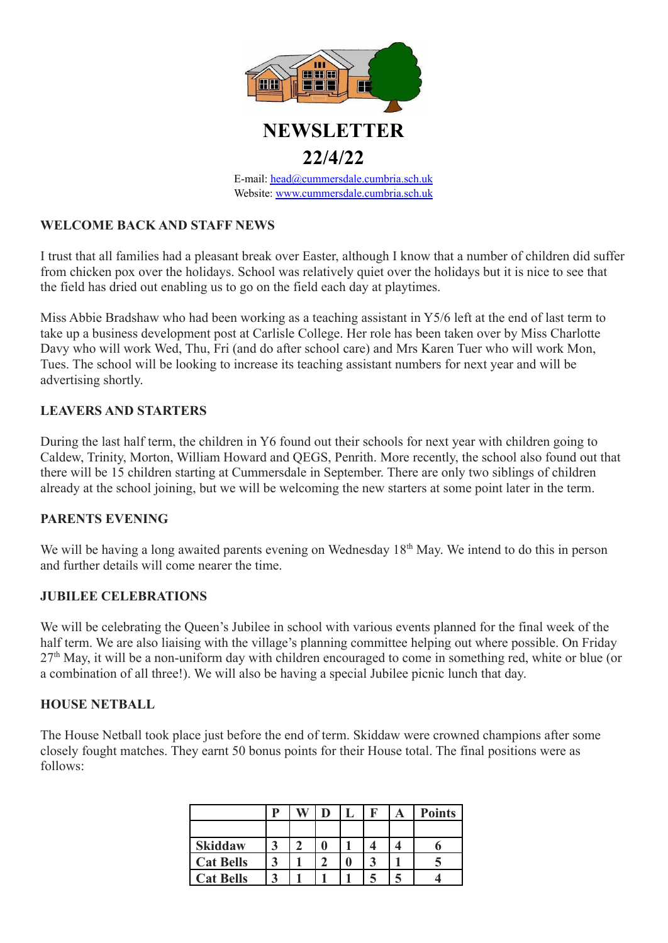

# **NEWSLETTER 22/4/22**

E-mail: [head@cummersdale.cumbria.sch.uk](mailto:head@cummersdale.cumbria.sch.uk) Website: [www.cummersdale.cumbria.sch.uk](http://www.cummersdale.cumbria.sch.uk)

# **WELCOME BACK AND STAFF NEWS**

I trust that all families had a pleasant break over Easter, although I know that a number of children did suffer from chicken pox over the holidays. School was relatively quiet over the holidays but it is nice to see that the field has dried out enabling us to go on the field each day at playtimes.

Miss Abbie Bradshaw who had been working as a teaching assistant in Y5/6 left at the end of last term to take up a business development post at Carlisle College. Her role has been taken over by Miss Charlotte Davy who will work Wed, Thu, Fri (and do after school care) and Mrs Karen Tuer who will work Mon, Tues. The school will be looking to increase its teaching assistant numbers for next year and will be advertising shortly.

## **LEAVERS AND STARTERS**

During the last half term, the children in Y6 found out their schools for next year with children going to Caldew, Trinity, Morton, William Howard and QEGS, Penrith. More recently, the school also found out that there will be 15 children starting at Cummersdale in September. There are only two siblings of children already at the school joining, but we will be welcoming the new starters at some point later in the term.

## **PARENTS EVENING**

We will be having a long awaited parents evening on Wednesday 18<sup>th</sup> May. We intend to do this in person and further details will come nearer the time.

## **JUBILEE CELEBRATIONS**

We will be celebrating the Queen's Jubilee in school with various events planned for the final week of the half term. We are also liaising with the village's planning committee helping out where possible. On Friday  $27<sup>th</sup>$  May, it will be a non-uniform day with children encouraged to come in something red, white or blue (or a combination of all three!). We will also be having a special Jubilee picnic lunch that day.

#### **HOUSE NETBALL**

The House Netball took place just before the end of term. Skiddaw were crowned champions after some closely fought matches. They earnt 50 bonus points for their House total. The final positions were as follows:

|                  | D |  | ┺ | A | <b>Points</b> |
|------------------|---|--|---|---|---------------|
|                  |   |  |   |   |               |
| <b>Skiddaw</b>   |   |  |   |   |               |
| <b>Cat Bells</b> |   |  |   |   |               |
| <b>Cat Bells</b> |   |  |   |   |               |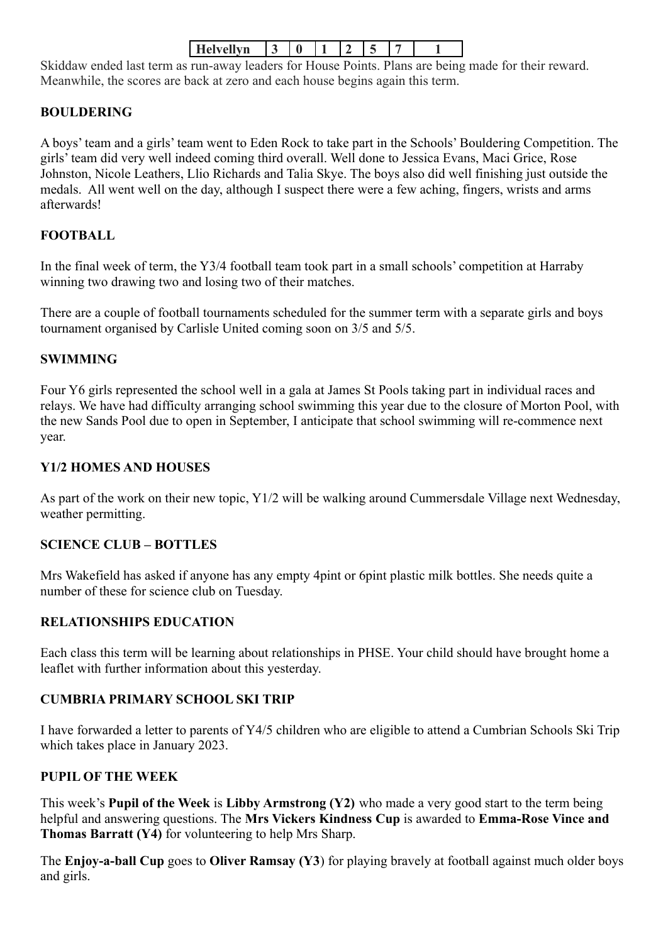| <b>YMS</b><br><br>- |
|---------------------|
|---------------------|

Skiddaw ended last term as run-away leaders for House Points. Plans are being made for their reward. Meanwhile, the scores are back at zero and each house begins again this term.

# **BOULDERING**

A boys' team and a girls' team went to Eden Rock to take part in the Schools' Bouldering Competition. The girls' team did very well indeed coming third overall. Well done to Jessica Evans, Maci Grice, Rose Johnston, Nicole Leathers, Llio Richards and Talia Skye. The boys also did well finishing just outside the medals. All went well on the day, although I suspect there were a few aching, fingers, wrists and arms afterwards!

# **FOOTBALL**

In the final week of term, the Y3/4 football team took part in a small schools' competition at Harraby winning two drawing two and losing two of their matches.

There are a couple of football tournaments scheduled for the summer term with a separate girls and boys tournament organised by Carlisle United coming soon on 3/5 and 5/5.

## **SWIMMING**

Four Y6 girls represented the school well in a gala at James St Pools taking part in individual races and relays. We have had difficulty arranging school swimming this year due to the closure of Morton Pool, with the new Sands Pool due to open in September, I anticipate that school swimming will re-commence next year.

#### **Y1/2 HOMES AND HOUSES**

As part of the work on their new topic, Y1/2 will be walking around Cummersdale Village next Wednesday, weather permitting.

#### **SCIENCE CLUB – BOTTLES**

Mrs Wakefield has asked if anyone has any empty 4pint or 6pint plastic milk bottles. She needs quite a number of these for science club on Tuesday.

## **RELATIONSHIPS EDUCATION**

Each class this term will be learning about relationships in PHSE. Your child should have brought home a leaflet with further information about this yesterday.

## **CUMBRIA PRIMARY SCHOOL SKI TRIP**

I have forwarded a letter to parents of Y4/5 children who are eligible to attend a Cumbrian Schools Ski Trip which takes place in January 2023.

## **PUPIL OF THE WEEK**

This week's **Pupil of the Week** is **Libby Armstrong (Y2)** who made a very good start to the term being helpful and answering questions. The **Mrs Vickers Kindness Cup** is awarded to **Emma-Rose Vince and Thomas Barratt (Y4)** for volunteering to help Mrs Sharp.

The **Enjoy-a-ball Cup** goes to **Oliver Ramsay (Y3**) for playing bravely at football against much older boys and girls.